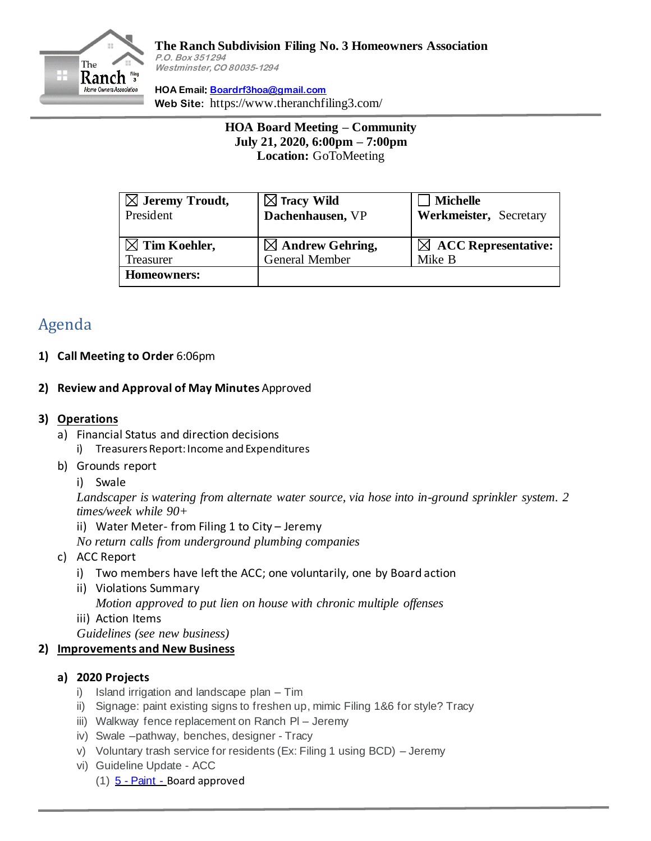

#### **The Ranch Subdivision Filing No. 3 Homeowners Association P.O. Box 351294 Westminster, CO 80035-1294**

**HOA Email: [Boardrf3hoa@gmail.com](mailto:Boardrf3hoa@gmail.com) Web Site:** https://www.theranchfiling3.com/

> **HOA Board Meeting – Community July 21, 2020, 6:00pm – 7:00pm Location:** GoToMeeting

| $\boxtimes$ Jeremy Troudt,<br>President | $\boxtimes$ Tracy Wild<br>Dachenhausen, VP | <b>Michelle</b><br>Werkmeister, Secretary |
|-----------------------------------------|--------------------------------------------|-------------------------------------------|
| $\boxtimes$ Tim Koehler,                | $\boxtimes$ Andrew Gehring,                | $\boxtimes$ ACC Representative:           |
| Treasurer                               | General Member                             | Mike B                                    |
| Homeowners:                             |                                            |                                           |

# Agenda

## **1) Call Meeting to Order** 6:06pm

#### **2) Review and Approval of May Minutes** Approved

#### **3) Operations**

- a) Financial Status and direction decisions
	- i) Treasurers Report: Income and Expenditures
- b) Grounds report
	- i) Swale

*Landscaper is watering from alternate water source, via hose into in-ground sprinkler system. 2 times/week while 90+*

- ii) Water Meter- from Filing 1 to City Jeremy
- *No return calls from underground plumbing companies*
- c) ACC Report
	- i) Two members have left the ACC; one voluntarily, one by Board action
	- ii) Violations Summary

*Motion approved to put lien on house with chronic multiple offenses*

iii) Action Items

*Guidelines (see new business)*

## **2) Improvements and New Business**

## **a) 2020 Projects**

- i) Island irrigation and landscape plan Tim
- ii) Signage: paint existing signs to freshen up, mimic Filing 1&6 for style? Tracy
- iii) Walkway fence replacement on Ranch Pl Jeremy
- iv) Swale –pathway, benches, designer Tracy
- v) Voluntary trash service for residents (Ex: Filing 1 using BCD) Jeremy
- vi) Guideline Update ACC
	- $(1)$   $5$  [Paint](https://www.dropbox.com/scl/fi/24vcgujkxkd0lmcu6mqc4/5-Proposed-ACC-Guideline-Change-Paint.docx?dl=0&rlkey=tqf7o43t229fawk8uzx48ox8w) Board approved